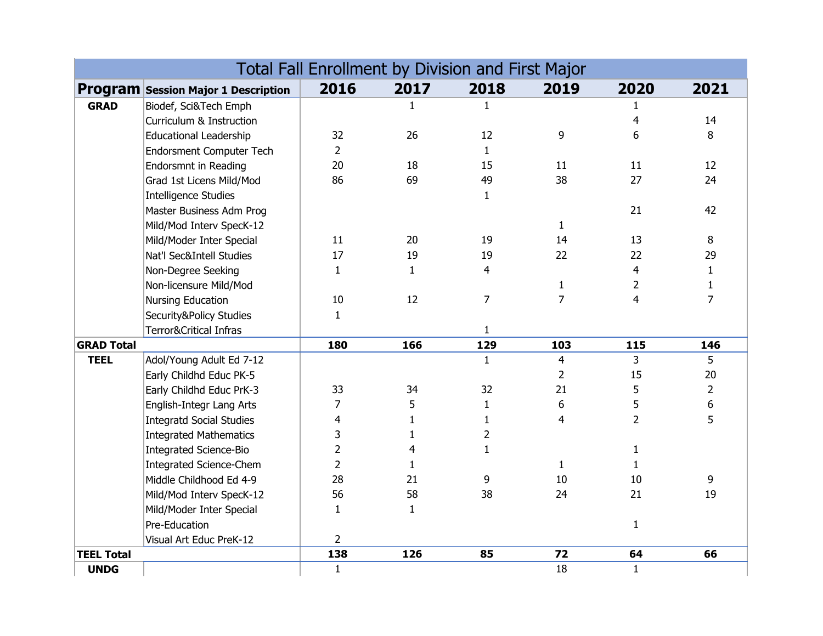|                   |                                            | 2016           | 2017           | <b>Total Fall Enrollment by Division and First Major</b><br>2018 | 2019           | 2020           | 2021            |
|-------------------|--------------------------------------------|----------------|----------------|------------------------------------------------------------------|----------------|----------------|-----------------|
|                   | <b>Program Session Major 1 Description</b> |                |                |                                                                  |                |                |                 |
| <b>GRAD</b>       | Biodef, Sci&Tech Emph                      |                | $\mathbf{1}$   | $\mathbf{1}$                                                     |                | 1              |                 |
|                   | Curriculum & Instruction                   |                |                |                                                                  |                | $\overline{4}$ | 14              |
|                   | <b>Educational Leadership</b>              | 32             | 26             | 12                                                               | 9              | 6              | 8               |
|                   | Endorsment Computer Tech                   | $\overline{2}$ |                | $\mathbf{1}$                                                     |                |                |                 |
|                   | <b>Endorsmnt in Reading</b>                | 20             | 18             | 15                                                               | 11             | 11             | 12 <sup>2</sup> |
|                   | Grad 1st Licens Mild/Mod                   | 86             | 69             | 49                                                               | 38             | 27             | 24              |
|                   | Intelligence Studies                       |                |                | $\mathbf{1}$                                                     |                |                |                 |
|                   | Master Business Adm Prog                   |                |                |                                                                  |                | 21             | 42              |
|                   | Mild/Mod Interv SpecK-12                   |                |                |                                                                  | $\mathbf{1}$   |                |                 |
|                   | Mild/Moder Inter Special                   | 11             | 20             | 19                                                               | 14             | 13             | 8               |
|                   | Nat'l Sec&Intell Studies                   | 17             | 19             | 19                                                               | 22             | 22             | 29              |
|                   | Non-Degree Seeking                         | $\mathbf{1}$   | $\mathbf{1}$   | $\overline{\mathbf{4}}$                                          |                | $\overline{4}$ | $\mathbf{1}$    |
|                   | Non-licensure Mild/Mod                     |                |                |                                                                  | $\mathbf{1}$   | $\overline{2}$ | $\mathbf{1}$    |
|                   | Nursing Education                          | 10             | 12             | $\overline{7}$                                                   | $\overline{7}$ | $\overline{4}$ | $\overline{7}$  |
|                   | Security&Policy Studies                    | $\mathbf{1}$   |                |                                                                  |                |                |                 |
|                   | Terror&Critical Infras                     |                |                | $\mathbf{1}$                                                     |                |                |                 |
| <b>GRAD Total</b> |                                            | 180            | 166            | 129                                                              | 103            | 115            | 146             |
| <b>TEEL</b>       | Adol/Young Adult Ed 7-12                   |                |                | $\mathbf{1}$                                                     | $\overline{4}$ | 3 <sup>1</sup> | 5               |
|                   | Early Childhd Educ PK-5                    |                |                |                                                                  | $\overline{2}$ | 15             | 20              |
|                   | Early Childhd Educ PrK-3                   | 33             | 34             | 32                                                               | 21             | 5              | $\overline{2}$  |
|                   | English-Integr Lang Arts                   | $\overline{7}$ | 5              | $\mathbf{1}$                                                     | 6              | 5              | 6               |
|                   | <b>Integratd Social Studies</b>            | $\overline{4}$ | $\mathbf{1}$   | $\mathbf{1}$                                                     | 4              | $\overline{2}$ | 5               |
|                   | <b>Integrated Mathematics</b>              | 3              | $\mathbf{1}$   | $\overline{2}$                                                   |                |                |                 |
|                   | Integrated Science-Bio                     | $\overline{2}$ | $\overline{4}$ | $\mathbf{1}$                                                     |                | $\mathbf{1}$   |                 |
|                   | Integrated Science-Chem                    | $\overline{2}$ | $\mathbf{1}$   |                                                                  | $\mathbf{1}$   | $\mathbf{1}$   |                 |
|                   | Middle Childhood Ed 4-9                    | 28             | 21             | 9                                                                | 10             | 10             | 9               |
|                   | Mild/Mod Interv SpecK-12                   | 56             | 58             | 38                                                               | 24             | 21             | 19              |
|                   | Mild/Moder Inter Special                   | $\mathbf{1}$   | $\mathbf{1}$   |                                                                  |                |                |                 |
|                   | Pre-Education                              |                |                |                                                                  |                | $\mathbf{1}$   |                 |
|                   | Visual Art Educ PreK-12                    | $\overline{2}$ |                |                                                                  |                |                |                 |
| <b>TEEL Total</b> |                                            | 138            | 126            | 85                                                               | 72             | 64             | 66              |
| <b>UNDG</b>       |                                            | $\mathbf{1}$   |                |                                                                  | 18             | $\mathbf{1}$   |                 |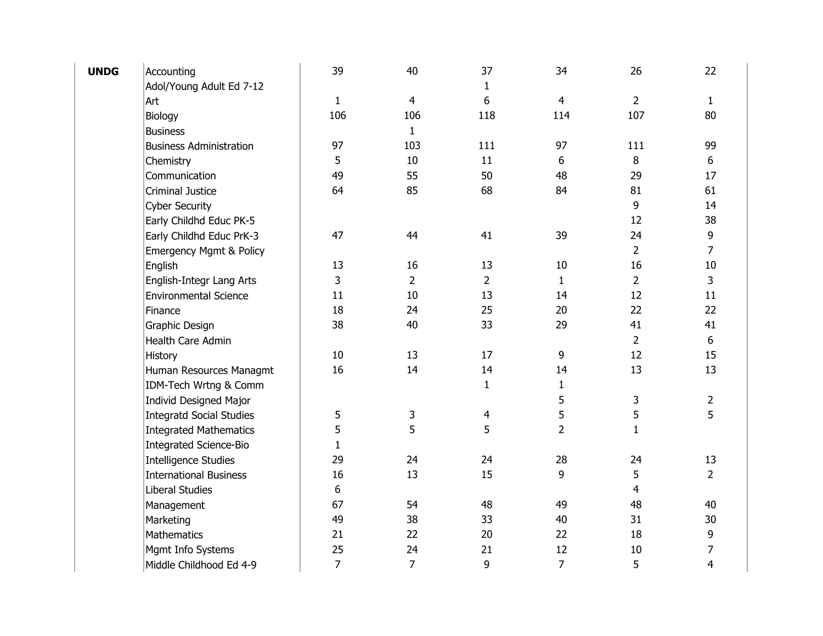| <b>UNDG</b> | Accounting                         | 39             | 40             | 37             | 34             | 26             | 22             |
|-------------|------------------------------------|----------------|----------------|----------------|----------------|----------------|----------------|
|             | Adol/Young Adult Ed 7-12           |                |                | $\mathbf{1}$   |                |                |                |
|             | Art                                | $\mathbf{1}$   | $\overline{4}$ | 6              | 4              | $\overline{2}$ | $\mathbf{1}$   |
|             | Biology                            | 106            | 106            | 118            | 114            | 107            | 80             |
|             | <b>Business</b>                    |                | $\mathbf{1}$   |                |                |                |                |
|             | <b>Business Administration</b>     | 97             | 103            | 111            | 97             | 111            | 99             |
|             | Chemistry                          | 5              | $10\,$         | 11             | 6              | $\,8\,$        | 6              |
|             | Communication                      | 49             | 55             | 50             | 48             | 29             | 17             |
|             | <b>Criminal Justice</b>            | 64             | 85             | 68             | 84             | 81             | 61             |
|             | <b>Cyber Security</b>              |                |                |                |                | 9              | 14             |
|             | Early Childhd Educ PK-5            |                |                |                |                | 12             | 38             |
|             | Early Childhd Educ PrK-3           | 47             | 44             | 41             | 39             | 24             | 9              |
|             | <b>Emergency Mgmt &amp; Policy</b> |                |                |                |                | $\overline{2}$ | 7              |
|             | English                            | 13             | 16             | 13             | 10             | 16             | $10\,$         |
|             | English-Integr Lang Arts           | $\overline{3}$ | $\overline{2}$ | $\overline{2}$ | $\mathbf{1}$   | $\overline{2}$ | 3              |
|             | <b>Environmental Science</b>       | 11             | $10\,$         | 13             | 14             | 12             | 11             |
|             | Finance                            | 18             | 24             | 25             | 20             | 22             | 22             |
|             | Graphic Design                     | 38             | 40             | 33             | 29             | 41             | 41             |
|             | Health Care Admin                  |                |                |                |                | $\overline{2}$ | 6              |
|             | History                            | 10             | 13             | 17             | 9              | 12             | 15             |
|             | Human Resources Managmt            | 16             | 14             | 14             | 14             | 13             | 13             |
|             | IDM-Tech Wrtng & Comm              |                |                | $\mathbf{1}$   | $\mathbf{1}$   |                |                |
|             | <b>Individ Designed Major</b>      |                |                |                | 5              | 3              | 2              |
|             | <b>Integratd Social Studies</b>    | 5              | 3              | 4              | 5              | 5              | 5              |
|             | <b>Integrated Mathematics</b>      | 5              | 5              | 5              | $\overline{2}$ | $\mathbf{1}$   |                |
|             | <b>Integrated Science-Bio</b>      | $\mathbf{1}$   |                |                |                |                |                |
|             | <b>Intelligence Studies</b>        | 29             | 24             | 24             | 28             | 24             | 13             |
|             | <b>International Business</b>      | 16             | 13             | 15             | 9              | 5              | $\overline{2}$ |
|             | Liberal Studies                    | 6              |                |                |                | 4              |                |
|             | Management                         | 67             | 54             | 48             | 49             | 48             | 40             |
|             | Marketing                          | 49             | 38             | 33             | 40             | 31             | 30             |
|             | <b>Mathematics</b>                 | 21             | 22             | 20             | 22             | 18             | 9              |
|             | Mgmt Info Systems                  | 25             | 24             | 21             | 12             | 10             | 7              |
|             | Middle Childhood Ed 4-9            | $\overline{7}$ | $\overline{7}$ | 9              | $\overline{7}$ | 5              | $\overline{4}$ |